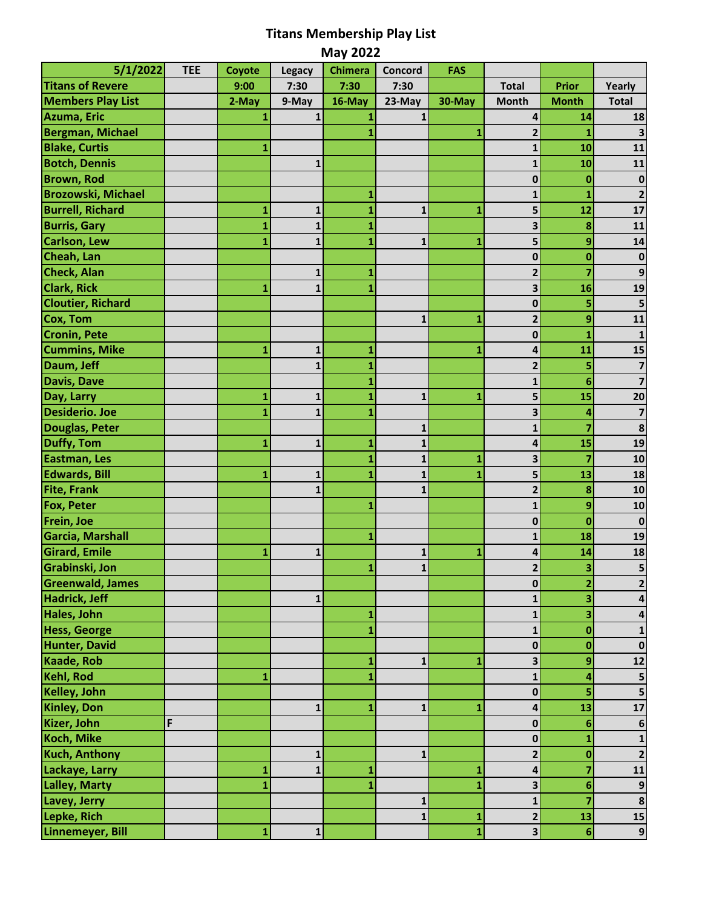## **Titans Membership Play List**

| <b>May 2022</b>           |            |        |               |                |              |        |                |                 |                         |
|---------------------------|------------|--------|---------------|----------------|--------------|--------|----------------|-----------------|-------------------------|
| 5/1/2022                  | <b>TEE</b> | Coyote | <b>Legacy</b> | <b>Chimera</b> | Concord      | FAS    |                |                 |                         |
| <b>Titans of Revere</b>   |            | 9:00   | 7:30          | 7:30           | 7:30         |        | <b>Total</b>   | Prior           | Yearly                  |
| <b>Members Play List</b>  |            | 2-May  | 9-May         | 16-May         | 23-May       | 30-May | <b>Month</b>   | <b>Month</b>    | <b>Total</b>            |
| Azuma, Eric               |            |        | 1             |                | $\mathbf{1}$ |        | 4              | 14              | 18                      |
| <b>Bergman, Michael</b>   |            |        |               |                |              | 1      | $\overline{2}$ | 1               | 3                       |
| <b>Blake, Curtis</b>      |            | 1      |               |                |              |        | $\mathbf{1}$   | 10              | 11                      |
| <b>Botch, Dennis</b>      |            |        | $\mathbf{1}$  |                |              |        | 1              | 10              | 11                      |
| <b>Brown, Rod</b>         |            |        |               |                |              |        | 0              | $\bf{0}$        | $\bf{0}$                |
| <b>Brozowski, Michael</b> |            |        |               | 1              |              |        |                | 1               |                         |
| <b>Burrell, Richard</b>   |            | 1      | 1             | 1              | 1            | 1      | 5              | 12              | 17                      |
| <b>Burris, Gary</b>       |            | 1      | $\mathbf{1}$  | 1              |              |        | 3              | 8               | 11                      |
| Carlson, Lew              |            | 1      | $\mathbf{1}$  | 1              | $\mathbf{1}$ | 1      | 5              | 9               | 14                      |
| Cheah, Lan                |            |        |               |                |              |        | $\mathbf{0}$   | $\bf{0}$        | $\bf{0}$                |
| Check, Alan               |            |        | $\mathbf 1$   | 1              |              |        | 2              | 7               | 9                       |
| <b>Clark, Rick</b>        |            | 1      | $\mathbf{1}$  | 1              |              |        | 3              | 16              | 19                      |
| <b>Cloutier, Richard</b>  |            |        |               |                |              |        | 0              | 5               |                         |
| Cox, Tom                  |            |        |               |                | 1            | 1      | 2              | 9               | 11                      |
| <b>Cronin, Pete</b>       |            |        |               |                |              |        | 0              | 1               | 1                       |
| <b>Cummins, Mike</b>      |            | 1      | $\mathbf 1$   | 1              |              | 1      | 4              | 11              | 15                      |
| Daum, Jeff                |            |        | $\mathbf{1}$  | 1              |              |        | $\overline{2}$ | 5               | $\overline{7}$          |
| <b>Davis, Dave</b>        |            |        |               | 1              |              |        | 1              | $6\phantom{1}6$ | 7                       |
| Day, Larry                |            | 1      | $\mathbf{1}$  | 1              | 1            | 1      | 5              | 15              | 20                      |
| <b>Desiderio. Joe</b>     |            |        | $\mathbf{1}$  | 1              |              |        | 3              | 4               | $\overline{\mathbf{z}}$ |
| Douglas, Peter            |            |        |               |                | 1            |        |                | 7               | 8                       |
| Duffy, Tom                |            | 1      | 1             | 1              | 1            |        | 4              | 15              | 19                      |
| Eastman, Les              |            |        |               |                | $\mathbf{1}$ | 1      | 3              | $\overline{7}$  | 10                      |
| <b>Edwards, Bill</b>      |            | 1      | 1             | 1              | $\mathbf{1}$ | 1      | 5              | 13              | 18                      |
| <b>Fite, Frank</b>        |            |        | $\mathbf{1}$  |                | $\mathbf{1}$ |        | $\mathbf{2}$   | 8               | 10                      |
| <b>Fox, Peter</b>         |            |        |               | 1              |              |        | $\mathbf{1}$   | 9               | 10                      |
| Frein, Joe                |            |        |               |                |              |        | 0              | $\bf{0}$        | $\mathbf 0$             |
| Garcia, Marshall          |            |        |               | 1              |              |        |                | 18              | 19                      |
| <b>Girard, Emile</b>      |            | 1      | $\mathbf{1}$  |                | $\mathbf{1}$ | 1      | 4              | 14              | 18                      |
| Grabinski, Jon            |            |        |               | 1              | $\mathbf{1}$ |        | $\mathbf{2}$   | 3               | 5                       |
| <b>Greenwald, James</b>   |            |        |               |                |              |        | $\mathbf 0$    | $\overline{2}$  | 2                       |
| Hadrick, Jeff             |            |        | $\mathbf{1}$  |                |              |        |                | 3               | 4                       |
| Hales, John               |            |        |               | 1              |              |        |                | 3               |                         |
| <b>Hess, George</b>       |            |        |               | 1              |              |        | 1              | $\bf{0}$        |                         |
| Hunter, David             |            |        |               |                |              |        | $\mathbf{0}$   | $\bf{0}$        | $\bf{0}$                |
| <b>Kaade, Rob</b>         |            |        |               | 1              | $\mathbf{1}$ | 1      | 3              | 9               | 12                      |
| Kehl, Rod                 |            | 1      |               | 1              |              |        | $\mathbf{1}$   | 4               | 5                       |
| Kelley, John              |            |        |               |                |              |        | 0              | 5               | 5                       |
| <b>Kinley, Don</b>        |            |        | $\mathbf 1$   | 1              | 1            | 1      | 4              | 13              | 17                      |
| Kizer, John               | F          |        |               |                |              |        | 0              | 6               | 6                       |
| Koch, Mike                |            |        |               |                |              |        | 0              | 1               |                         |
| <b>Kuch, Anthony</b>      |            |        | 1             |                | 1            |        | 2              | $\bf{0}$        | $\overline{2}$          |
| Lackaye, Larry            |            | 1      | $\mathbf{1}$  | 1              |              | 1      | 4              | 7               | 11                      |
| <b>Lalley, Marty</b>      |            |        |               |                |              |        |                | 6               | 9                       |
| Lavey, Jerry              |            |        |               |                | 1            |        | 1              | 7               | $\pmb{8}$               |
| Lepke, Rich               |            |        |               |                | $\mathbf{1}$ | 1      | 2              | 13              | 15                      |
| Linnemeyer, Bill          |            | 1      | $\mathbf 1$   |                |              | 1      | 3              | $6\phantom{1}$  | $\overline{9}$          |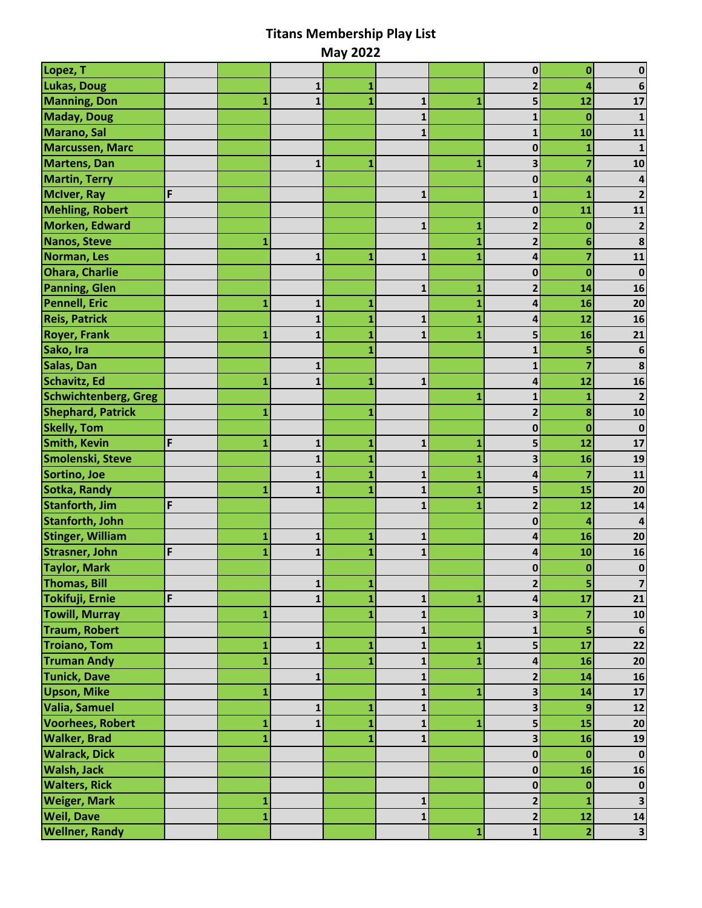## **Titans Membership Play List**

| <b>May 2022</b>             |   |   |              |   |              |   |                |                         |                         |
|-----------------------------|---|---|--------------|---|--------------|---|----------------|-------------------------|-------------------------|
| Lopez, T                    |   |   |              |   |              |   | 0              | 0                       |                         |
| Lukas, Doug                 |   |   | 1            |   |              |   | 2              | 4                       | 6                       |
| <b>Manning, Don</b>         |   |   | $\mathbf{1}$ | 1 | 1            | 1 | 5              | 12                      | 17                      |
| <b>Maday, Doug</b>          |   |   |              |   | $\mathbf{1}$ |   | 1              | $\bf{0}$                | $\mathbf{1}$            |
| Marano, Sal                 |   |   |              |   | $\mathbf{1}$ |   | $\mathbf{1}$   | 10                      | 11                      |
| <b>Marcussen, Marc</b>      |   |   |              |   |              |   | 0              | 1                       | 1                       |
| <b>Martens, Dan</b>         |   |   | $\mathbf{1}$ | 1 |              | 1 | 3              | 7                       | 10                      |
| <b>Martin, Terry</b>        |   |   |              |   |              |   | 0              | 4                       | 4                       |
| <b>McIver, Ray</b>          | F |   |              |   | 1            |   |                | 1                       |                         |
| <b>Mehling, Robert</b>      |   |   |              |   |              |   | 0              | 11                      | 11                      |
| Morken, Edward              |   |   |              |   | $\mathbf{1}$ | 1 | 2              | $\bf{0}$                | $\overline{\mathbf{c}}$ |
| Nanos, Steve                |   | 1 |              |   |              |   | $\overline{2}$ | 6                       | 8                       |
| Norman, Les                 |   |   | $\mathbf{1}$ | 1 | $\mathbf{1}$ | 1 | 4              | 7                       | 11                      |
| <b>Ohara, Charlie</b>       |   |   |              |   |              |   | 0              | $\bf{0}$                | $\bf{0}$                |
| <b>Panning, Glen</b>        |   |   |              |   | $\mathbf{1}$ | 1 | 2              | 14                      | 16                      |
| <b>Pennell, Eric</b>        |   | 1 | $\mathbf{1}$ | 1 |              |   | 4              | 16                      | 20                      |
| <b>Reis, Patrick</b>        |   |   | $\mathbf{1}$ | 1 | 1            | 1 | 4              | 12                      | 16                      |
| <b>Royer, Frank</b>         |   | 1 | $\mathbf{1}$ |   | $\mathbf{1}$ | 1 | 5              | 16                      | 21                      |
| Sako, Ira                   |   |   |              |   |              |   |                | 5                       | 6                       |
| Salas, Dan                  |   |   | 1            |   |              |   | 1              | $\overline{7}$          | 8                       |
| Schavitz, Ed                |   |   | $\mathbf{1}$ | 1 | 1            |   | 4              | 12                      | 16                      |
| <b>Schwichtenberg, Greg</b> |   |   |              |   |              | 1 | 1              | 1                       | $\mathbf{2}$            |
| <b>Shephard, Patrick</b>    |   |   |              | 1 |              |   |                | 8                       | 10                      |
| <b>Skelly, Tom</b>          |   |   |              |   |              |   | 0              | $\bf{0}$                | $\bf{0}$                |
| <b>Smith, Kevin</b>         | F | 1 | 1            | 1 | 1            | 1 | 5              | 12                      | 17                      |
| Smolenski, Steve            |   |   | $\mathbf{1}$ |   |              |   | 3              | 16                      | 19                      |
| Sortino, Joe                |   |   | $\mathbf{1}$ | 1 | $\mathbf{1}$ |   | 4              | 7                       | 11                      |
| Sotka, Randy                |   | 1 | $\mathbf{1}$ | 1 | $\mathbf{1}$ | 1 | 5              | 15                      | 20                      |
| <b>Stanforth, Jim</b>       | F |   |              |   | $\mathbf{1}$ | 1 | 2              | 12                      | 14                      |
| <b>Stanforth, John</b>      |   |   |              |   |              |   | 0              | 4                       | $\overline{4}$          |
| <b>Stinger, William</b>     |   | 1 | 1            | 1 | 1            |   | 4              | 16                      | 20                      |
| <b>Strasner, John</b>       | F | 1 | $\mathbf{1}$ | 1 | 1            |   | 4              | 10                      | 16                      |
| <b>Taylor, Mark</b>         |   |   |              |   |              |   | $\mathbf 0$    | $\bf{0}$                | $\bf{0}$                |
| <b>Thomas, Bill</b>         |   |   | $\mathbf{1}$ | 1 |              |   | $\overline{2}$ | 5                       | $\overline{\mathbf{z}}$ |
| Tokifuji, Ernie             | F |   | $\mathbf{1}$ | 1 | 1            | 1 | 4              | 17                      | 21                      |
| <b>Towill, Murray</b>       |   | 1 |              | 1 | $\mathbf{1}$ |   | 3              |                         | 10                      |
| <b>Traum, Robert</b>        |   |   |              |   | 1            |   | 1              | 5                       | 6                       |
| <b>Troiano, Tom</b>         |   | 1 | $\mathbf{1}$ | 1 | $\mathbf{1}$ | 1 | 5              | 17                      | 22                      |
| <b>Truman Andy</b>          |   |   |              | 1 | $\mathbf{1}$ |   | 4              | 16                      | 20                      |
| <b>Tunick, Dave</b>         |   |   | $\mathbf{1}$ |   | 1            |   | 2              | 14                      | 16                      |
| <b>Upson, Mike</b>          |   | 1 |              |   | 1            | 1 | 3              | 14                      | 17                      |
| Valia, Samuel               |   |   | $\mathbf{1}$ | 1 | $\mathbf{1}$ |   | 3              | 9                       | 12                      |
| <b>Voorhees, Robert</b>     |   |   | $\mathbf{1}$ | 1 | $\mathbf{1}$ | 1 | 5              | 15                      | 20                      |
| <b>Walker, Brad</b>         |   |   |              | 1 | 1            |   | 3              | 16                      | 19                      |
| <b>Walrack, Dick</b>        |   |   |              |   |              |   | 0              | $\bf{0}$                | $\mathbf 0$             |
| <b>Walsh, Jack</b>          |   |   |              |   |              |   | $\mathbf{0}$   | 16                      | 16                      |
| <b>Walters, Rick</b>        |   |   |              |   |              |   | 0              | $\bf{0}$                | $\mathbf 0$             |
| <b>Weiger, Mark</b>         |   | 1 |              |   | 1            |   | $\mathbf{2}$   | 1                       | $\mathbf{3}$            |
| <b>Weil, Dave</b>           |   |   |              |   | 1            |   | 2              | 12                      | 14                      |
| <b>Wellner, Randy</b>       |   |   |              |   |              | 1 | $\mathbf{1}$   | $\overline{\mathbf{2}}$ | $\overline{\mathbf{3}}$ |